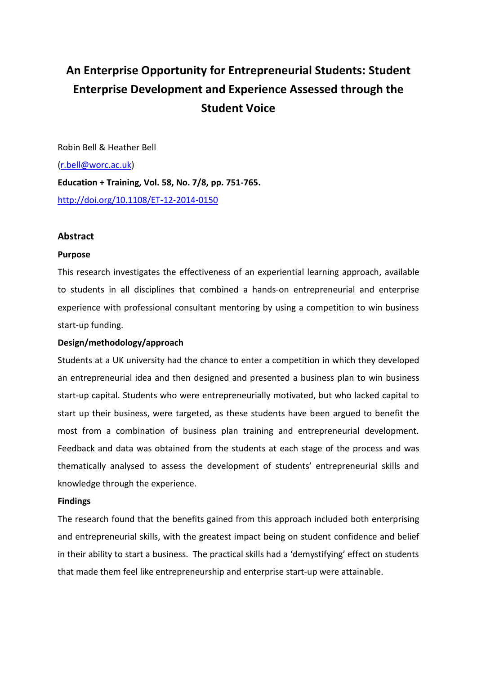# **An Enterprise Opportunity for Entrepreneurial Students: Student Enterprise Development and Experience Assessed through the Student Voice**

Robin Bell & Heather Bell [\(r.bell@worc.ac.uk\)](mailto:r.bell@worc.ac.uk) **Education + Training, Vol. 58, No. 7/8, pp. 751-765.** <http://doi.org/10.1108/ET-12-2014-0150>

# **Abstract**

#### **Purpose**

This research investigates the effectiveness of an experiential learning approach, available to students in all disciplines that combined a hands-on entrepreneurial and enterprise experience with professional consultant mentoring by using a competition to win business start-up funding.

# **Design/methodology/approach**

Students at a UK university had the chance to enter a competition in which they developed an entrepreneurial idea and then designed and presented a business plan to win business start-up capital. Students who were entrepreneurially motivated, but who lacked capital to start up their business, were targeted, as these students have been argued to benefit the most from a combination of business plan training and entrepreneurial development. Feedback and data was obtained from the students at each stage of the process and was thematically analysed to assess the development of students' entrepreneurial skills and knowledge through the experience.

#### **Findings**

The research found that the benefits gained from this approach included both enterprising and entrepreneurial skills, with the greatest impact being on student confidence and belief in their ability to start a business. The practical skills had a 'demystifying' effect on students that made them feel like entrepreneurship and enterprise start-up were attainable.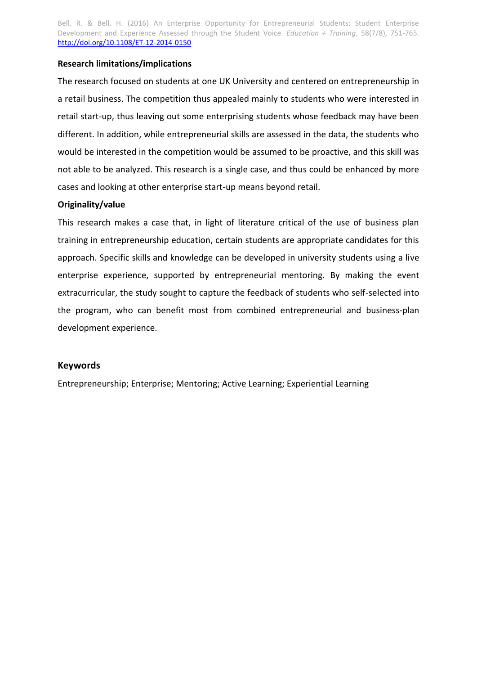# **Research limitations/implications**

The research focused on students at one UK University and centered on entrepreneurship in a retail business. The competition thus appealed mainly to students who were interested in retail start-up, thus leaving out some enterprising students whose feedback may have been different. In addition, while entrepreneurial skills are assessed in the data, the students who would be interested in the competition would be assumed to be proactive, and this skill was not able to be analyzed. This research is a single case, and thus could be enhanced by more cases and looking at other enterprise start-up means beyond retail.

# **Originality/value**

This research makes a case that, in light of literature critical of the use of business plan training in entrepreneurship education, certain students are appropriate candidates for this approach. Specific skills and knowledge can be developed in university students using a live enterprise experience, supported by entrepreneurial mentoring. By making the event extracurricular, the study sought to capture the feedback of students who self-selected into the program, who can benefit most from combined entrepreneurial and business-plan development experience.

# **Keywords**

Entrepreneurship; Enterprise; Mentoring; Active Learning; Experiential Learning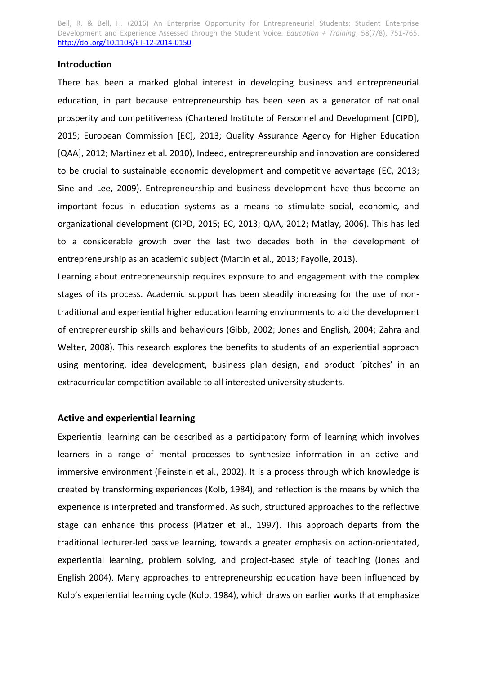#### **Introduction**

There has been a marked global interest in developing business and entrepreneurial education, in part because entrepreneurship has been seen as a generator of national prosperity and competitiveness (Chartered Institute of Personnel and Development [CIPD], 2015; European Commission [EC], 2013; Quality Assurance Agency for Higher Education [QAA], 2012; Martinez et al. 2010), Indeed, entrepreneurship and innovation are considered to be crucial to sustainable economic development and competitive advantage (EC, 2013; Sine and Lee, 2009). Entrepreneurship and business development have thus become an important focus in education systems as a means to stimulate social, economic, and organizational development (CIPD, 2015; EC, 2013; QAA, 2012; Matlay, 2006). This has led to a considerable growth over the last two decades both in the development of entrepreneurship as an academic subject (Martin et al., 2013; Fayolle, 2013).

Learning about entrepreneurship requires exposure to and engagement with the complex stages of its process. Academic support has been steadily increasing for the use of nontraditional and experiential higher education learning environments to aid the development of entrepreneurship skills and behaviours (Gibb, 2002; Jones and English, 2004; Zahra and Welter, 2008). This research explores the benefits to students of an experiential approach using mentoring, idea development, business plan design, and product 'pitches' in an extracurricular competition available to all interested university students.

# **Active and experiential learning**

Experiential learning can be described as a participatory form of learning which involves learners in a range of mental processes to synthesize information in an active and immersive environment (Feinstein et al., 2002). It is a process through which knowledge is created by transforming experiences (Kolb, 1984), and reflection is the means by which the experience is interpreted and transformed. As such, structured approaches to the reflective stage can enhance this process (Platzer et al., 1997). This approach departs from the traditional lecturer-led passive learning, towards a greater emphasis on action-orientated, experiential learning, problem solving, and project-based style of teaching (Jones and English 2004). Many approaches to entrepreneurship education have been influenced by Kolb's experiential learning cycle (Kolb, 1984), which draws on earlier works that emphasize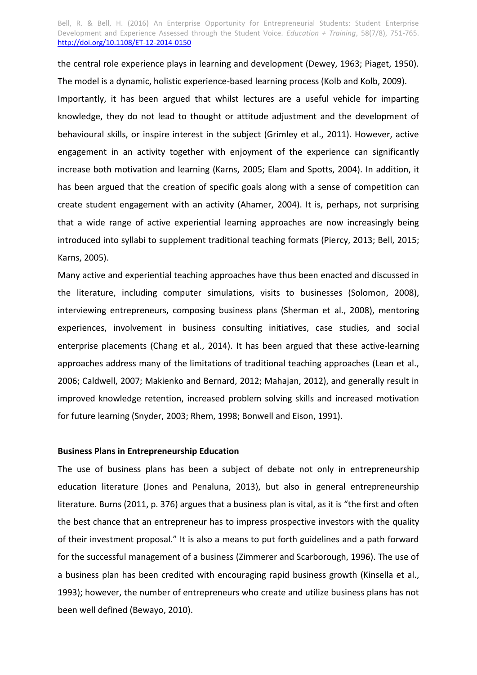the central role experience plays in learning and development (Dewey, 1963; Piaget, 1950). The model is a dynamic, holistic experience-based learning process (Kolb and Kolb, 2009).

Importantly, it has been argued that whilst lectures are a useful vehicle for imparting knowledge, they do not lead to thought or attitude adjustment and the development of behavioural skills, or inspire interest in the subject (Grimley et al., 2011). However, active engagement in an activity together with enjoyment of the experience can significantly increase both motivation and learning (Karns, 2005; Elam and Spotts, 2004). In addition, it has been argued that the creation of specific goals along with a sense of competition can create student engagement with an activity (Ahamer, 2004). It is, perhaps, not surprising that a wide range of active experiential learning approaches are now increasingly being introduced into syllabi to supplement traditional teaching formats (Piercy, 2013; Bell, 2015; Karns, 2005).

Many active and experiential teaching approaches have thus been enacted and discussed in the literature, including computer simulations, visits to businesses (Solomon, 2008), interviewing entrepreneurs, composing business plans (Sherman et al., 2008), mentoring experiences, involvement in business consulting initiatives, case studies, and social enterprise placements (Chang et al., 2014). It has been argued that these active-learning approaches address many of the limitations of traditional teaching approaches (Lean et al., 2006; Caldwell, 2007; Makienko and Bernard, 2012; Mahajan, 2012), and generally result in improved knowledge retention, increased problem solving skills and increased motivation for future learning (Snyder, 2003; Rhem, 1998; Bonwell and Eison, 1991).

#### **Business Plans in Entrepreneurship Education**

The use of business plans has been a subject of debate not only in entrepreneurship education literature (Jones and Penaluna, 2013), but also in general entrepreneurship literature. Burns (2011, p. 376) argues that a business plan is vital, as it is "the first and often the best chance that an entrepreneur has to impress prospective investors with the quality of their investment proposal." It is also a means to put forth guidelines and a path forward for the successful management of a business (Zimmerer and Scarborough, 1996). The use of a business plan has been credited with encouraging rapid business growth (Kinsella et al., 1993); however, the number of entrepreneurs who create and utilize business plans has not been well defined (Bewayo, 2010).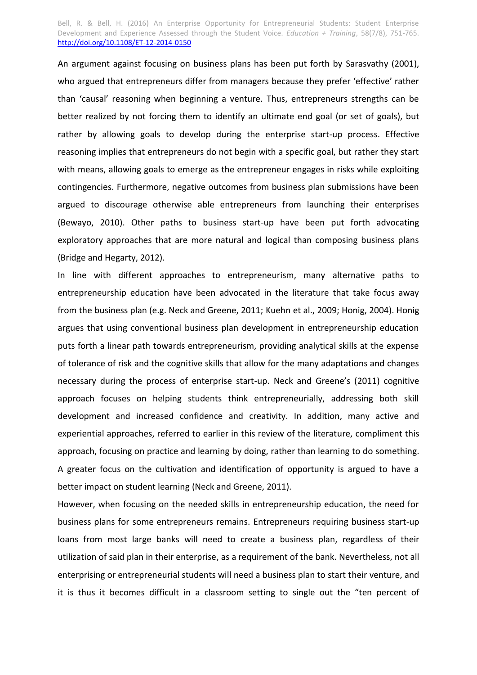An argument against focusing on business plans has been put forth by Sarasvathy (2001), who argued that entrepreneurs differ from managers because they prefer 'effective' rather than 'causal' reasoning when beginning a venture. Thus, entrepreneurs strengths can be better realized by not forcing them to identify an ultimate end goal (or set of goals), but rather by allowing goals to develop during the enterprise start-up process. Effective reasoning implies that entrepreneurs do not begin with a specific goal, but rather they start with means, allowing goals to emerge as the entrepreneur engages in risks while exploiting contingencies. Furthermore, negative outcomes from business plan submissions have been argued to discourage otherwise able entrepreneurs from launching their enterprises (Bewayo, 2010). Other paths to business start-up have been put forth advocating exploratory approaches that are more natural and logical than composing business plans (Bridge and Hegarty, 2012).

In line with different approaches to entrepreneurism, many alternative paths to entrepreneurship education have been advocated in the literature that take focus away from the business plan (e.g. Neck and Greene, 2011; Kuehn et al., 2009; Honig, 2004). Honig argues that using conventional business plan development in entrepreneurship education puts forth a linear path towards entrepreneurism, providing analytical skills at the expense of tolerance of risk and the cognitive skills that allow for the many adaptations and changes necessary during the process of enterprise start-up. Neck and Greene's (2011) cognitive approach focuses on helping students think entrepreneurially, addressing both skill development and increased confidence and creativity. In addition, many active and experiential approaches, referred to earlier in this review of the literature, compliment this approach, focusing on practice and learning by doing, rather than learning to do something. A greater focus on the cultivation and identification of opportunity is argued to have a better impact on student learning (Neck and Greene, 2011).

However, when focusing on the needed skills in entrepreneurship education, the need for business plans for some entrepreneurs remains. Entrepreneurs requiring business start-up loans from most large banks will need to create a business plan, regardless of their utilization of said plan in their enterprise, as a requirement of the bank. Nevertheless, not all enterprising or entrepreneurial students will need a business plan to start their venture, and it is thus it becomes difficult in a classroom setting to single out the "ten percent of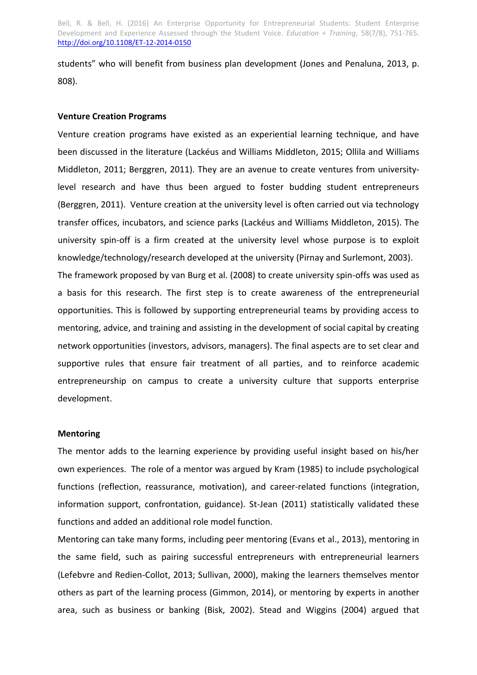students" who will benefit from business plan development (Jones and Penaluna, 2013, p. 808).

#### **Venture Creation Programs**

Venture creation programs have existed as an experiential learning technique, and have been discussed in the literature (Lackéus and Williams Middleton, 2015; Ollila and Williams Middleton, 2011; Berggren, 2011). They are an avenue to create ventures from universitylevel research and have thus been argued to foster budding student entrepreneurs (Berggren, 2011). Venture creation at the university level is often carried out via technology transfer offices, incubators, and science parks (Lackéus and Williams Middleton, 2015). The university spin-off is a firm created at the university level whose purpose is to exploit knowledge/technology/research developed at the university (Pirnay and Surlemont, 2003). The framework proposed by van Burg et al. (2008) to create university spin-offs was used as a basis for this research. The first step is to create awareness of the entrepreneurial opportunities. This is followed by supporting entrepreneurial teams by providing access to mentoring, advice, and training and assisting in the development of social capital by creating network opportunities (investors, advisors, managers). The final aspects are to set clear and supportive rules that ensure fair treatment of all parties, and to reinforce academic entrepreneurship on campus to create a university culture that supports enterprise development.

#### **Mentoring**

The mentor adds to the learning experience by providing useful insight based on his/her own experiences. The role of a mentor was argued by Kram (1985) to include psychological functions (reflection, reassurance, motivation), and career-related functions (integration, information support, confrontation, guidance). St-Jean (2011) statistically validated these functions and added an additional role model function.

Mentoring can take many forms, including peer mentoring (Evans et al., 2013), mentoring in the same field, such as pairing successful entrepreneurs with entrepreneurial learners (Lefebvre and Redien-Collot, 2013; Sullivan, 2000), making the learners themselves mentor others as part of the learning process (Gimmon, 2014), or mentoring by experts in another area, such as business or banking (Bisk, 2002). Stead and Wiggins (2004) argued that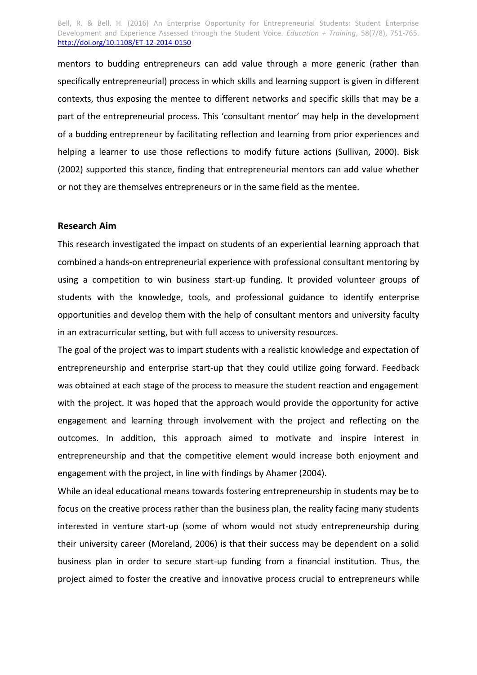mentors to budding entrepreneurs can add value through a more generic (rather than specifically entrepreneurial) process in which skills and learning support is given in different contexts, thus exposing the mentee to different networks and specific skills that may be a part of the entrepreneurial process. This 'consultant mentor' may help in the development of a budding entrepreneur by facilitating reflection and learning from prior experiences and helping a learner to use those reflections to modify future actions (Sullivan, 2000). Bisk (2002) supported this stance, finding that entrepreneurial mentors can add value whether or not they are themselves entrepreneurs or in the same field as the mentee.

# **Research Aim**

This research investigated the impact on students of an experiential learning approach that combined a hands-on entrepreneurial experience with professional consultant mentoring by using a competition to win business start-up funding. It provided volunteer groups of students with the knowledge, tools, and professional guidance to identify enterprise opportunities and develop them with the help of consultant mentors and university faculty in an extracurricular setting, but with full access to university resources.

The goal of the project was to impart students with a realistic knowledge and expectation of entrepreneurship and enterprise start-up that they could utilize going forward. Feedback was obtained at each stage of the process to measure the student reaction and engagement with the project. It was hoped that the approach would provide the opportunity for active engagement and learning through involvement with the project and reflecting on the outcomes. In addition, this approach aimed to motivate and inspire interest in entrepreneurship and that the competitive element would increase both enjoyment and engagement with the project, in line with findings by Ahamer (2004).

While an ideal educational means towards fostering entrepreneurship in students may be to focus on the creative process rather than the business plan, the reality facing many students interested in venture start-up (some of whom would not study entrepreneurship during their university career (Moreland, 2006) is that their success may be dependent on a solid business plan in order to secure start-up funding from a financial institution. Thus, the project aimed to foster the creative and innovative process crucial to entrepreneurs while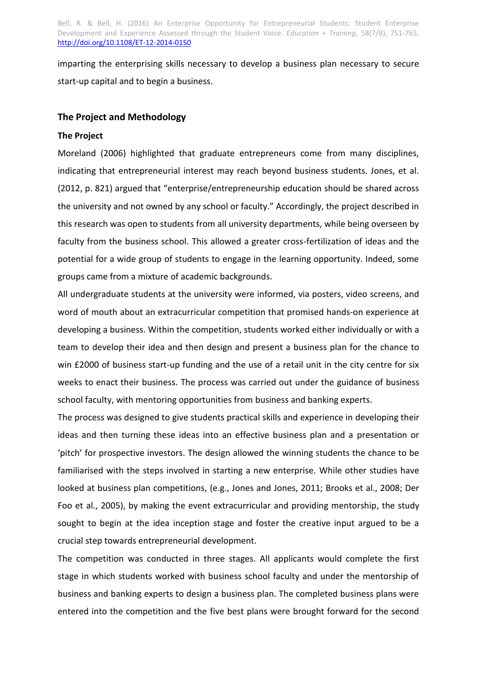imparting the enterprising skills necessary to develop a business plan necessary to secure start-up capital and to begin a business.

# **The Project and Methodology**

# **The Project**

Moreland (2006) highlighted that graduate entrepreneurs come from many disciplines, indicating that entrepreneurial interest may reach beyond business students. Jones, et al. (2012, p. 821) argued that "enterprise/entrepreneurship education should be shared across the university and not owned by any school or faculty." Accordingly, the project described in this research was open to students from all university departments, while being overseen by faculty from the business school. This allowed a greater cross-fertilization of ideas and the potential for a wide group of students to engage in the learning opportunity. Indeed, some groups came from a mixture of academic backgrounds.

All undergraduate students at the university were informed, via posters, video screens, and word of mouth about an extracurricular competition that promised hands-on experience at developing a business. Within the competition, students worked either individually or with a team to develop their idea and then design and present a business plan for the chance to win £2000 of business start-up funding and the use of a retail unit in the city centre for six weeks to enact their business. The process was carried out under the guidance of business school faculty, with mentoring opportunities from business and banking experts.

The process was designed to give students practical skills and experience in developing their ideas and then turning these ideas into an effective business plan and a presentation or 'pitch' for prospective investors. The design allowed the winning students the chance to be familiarised with the steps involved in starting a new enterprise. While other studies have looked at business plan competitions, (e.g., Jones and Jones, 2011; Brooks et al., 2008; Der Foo et al., 2005), by making the event extracurricular and providing mentorship, the study sought to begin at the idea inception stage and foster the creative input argued to be a crucial step towards entrepreneurial development.

The competition was conducted in three stages. All applicants would complete the first stage in which students worked with business school faculty and under the mentorship of business and banking experts to design a business plan. The completed business plans were entered into the competition and the five best plans were brought forward for the second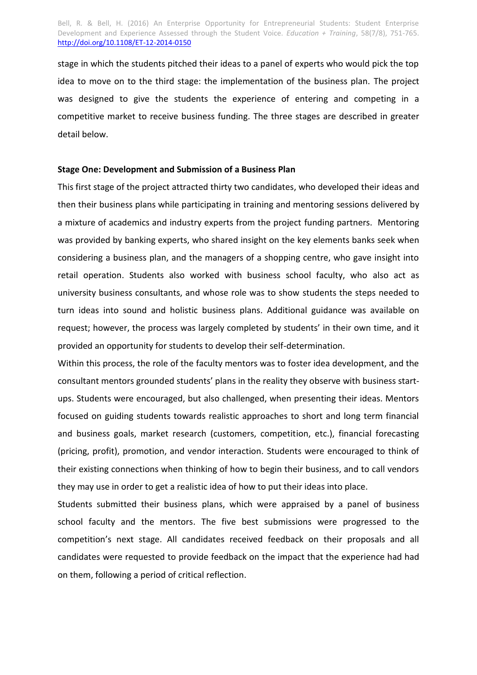stage in which the students pitched their ideas to a panel of experts who would pick the top idea to move on to the third stage: the implementation of the business plan. The project was designed to give the students the experience of entering and competing in a competitive market to receive business funding. The three stages are described in greater detail below.

#### **Stage One: Development and Submission of a Business Plan**

This first stage of the project attracted thirty two candidates, who developed their ideas and then their business plans while participating in training and mentoring sessions delivered by a mixture of academics and industry experts from the project funding partners. Mentoring was provided by banking experts, who shared insight on the key elements banks seek when considering a business plan, and the managers of a shopping centre, who gave insight into retail operation. Students also worked with business school faculty, who also act as university business consultants, and whose role was to show students the steps needed to turn ideas into sound and holistic business plans. Additional guidance was available on request; however, the process was largely completed by students' in their own time, and it provided an opportunity for students to develop their self-determination.

Within this process, the role of the faculty mentors was to foster idea development, and the consultant mentors grounded students' plans in the reality they observe with business startups. Students were encouraged, but also challenged, when presenting their ideas. Mentors focused on guiding students towards realistic approaches to short and long term financial and business goals, market research (customers, competition, etc.), financial forecasting (pricing, profit), promotion, and vendor interaction. Students were encouraged to think of their existing connections when thinking of how to begin their business, and to call vendors they may use in order to get a realistic idea of how to put their ideas into place.

Students submitted their business plans, which were appraised by a panel of business school faculty and the mentors. The five best submissions were progressed to the competition's next stage. All candidates received feedback on their proposals and all candidates were requested to provide feedback on the impact that the experience had had on them, following a period of critical reflection.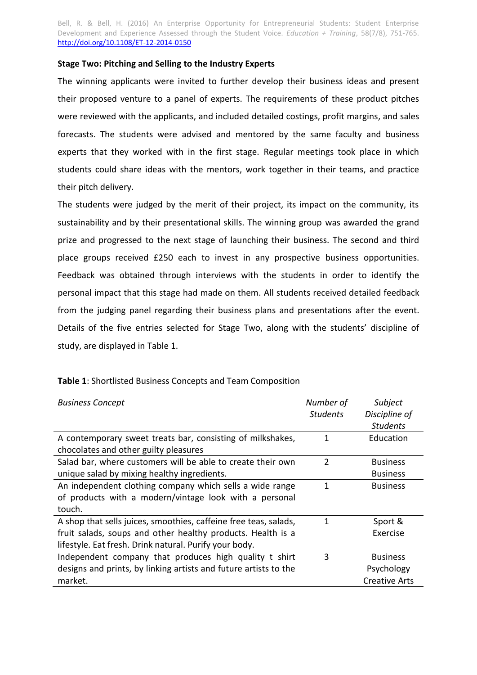# **Stage Two: Pitching and Selling to the Industry Experts**

The winning applicants were invited to further develop their business ideas and present their proposed venture to a panel of experts. The requirements of these product pitches were reviewed with the applicants, and included detailed costings, profit margins, and sales forecasts. The students were advised and mentored by the same faculty and business experts that they worked with in the first stage. Regular meetings took place in which students could share ideas with the mentors, work together in their teams, and practice their pitch delivery.

The students were judged by the merit of their project, its impact on the community, its sustainability and by their presentational skills. The winning group was awarded the grand prize and progressed to the next stage of launching their business. The second and third place groups received £250 each to invest in any prospective business opportunities. Feedback was obtained through interviews with the students in order to identify the personal impact that this stage had made on them. All students received detailed feedback from the judging panel regarding their business plans and presentations after the event. Details of the five entries selected for Stage Two, along with the students' discipline of study, are displayed in Table 1.

| <b>Business Concept</b>                                          | Number of       | Subject              |
|------------------------------------------------------------------|-----------------|----------------------|
|                                                                  | <b>Students</b> | Discipline of        |
|                                                                  |                 | <b>Students</b>      |
| A contemporary sweet treats bar, consisting of milkshakes,       | 1               | Education            |
| chocolates and other guilty pleasures                            |                 |                      |
| Salad bar, where customers will be able to create their own      | $\mathfrak{p}$  | <b>Business</b>      |
| unique salad by mixing healthy ingredients.                      |                 | <b>Business</b>      |
| An independent clothing company which sells a wide range         | 1               | <b>Business</b>      |
| of products with a modern/vintage look with a personal           |                 |                      |
| touch.                                                           |                 |                      |
| A shop that sells juices, smoothies, caffeine free teas, salads, | 1               | Sport &              |
| fruit salads, soups and other healthy products. Health is a      |                 | Exercise             |
| lifestyle. Eat fresh. Drink natural. Purify your body.           |                 |                      |
| Independent company that produces high quality t shirt           | 3               | <b>Business</b>      |
| designs and prints, by linking artists and future artists to the |                 | Psychology           |
| market.                                                          |                 | <b>Creative Arts</b> |

# **Table 1**: Shortlisted Business Concepts and Team Composition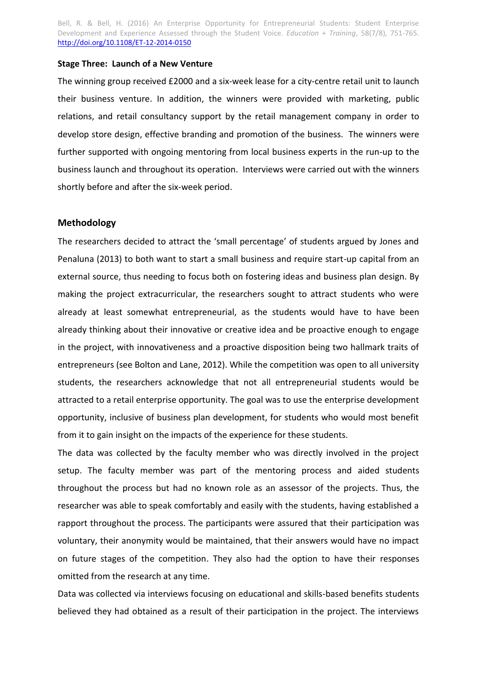#### **Stage Three: Launch of a New Venture**

The winning group received £2000 and a six-week lease for a city-centre retail unit to launch their business venture. In addition, the winners were provided with marketing, public relations, and retail consultancy support by the retail management company in order to develop store design, effective branding and promotion of the business. The winners were further supported with ongoing mentoring from local business experts in the run-up to the business launch and throughout its operation. Interviews were carried out with the winners shortly before and after the six-week period.

#### **Methodology**

The researchers decided to attract the 'small percentage' of students argued by Jones and Penaluna (2013) to both want to start a small business and require start-up capital from an external source, thus needing to focus both on fostering ideas and business plan design. By making the project extracurricular, the researchers sought to attract students who were already at least somewhat entrepreneurial, as the students would have to have been already thinking about their innovative or creative idea and be proactive enough to engage in the project, with innovativeness and a proactive disposition being two hallmark traits of entrepreneurs (see Bolton and Lane, 2012). While the competition was open to all university students, the researchers acknowledge that not all entrepreneurial students would be attracted to a retail enterprise opportunity. The goal was to use the enterprise development opportunity, inclusive of business plan development, for students who would most benefit from it to gain insight on the impacts of the experience for these students.

The data was collected by the faculty member who was directly involved in the project setup. The faculty member was part of the mentoring process and aided students throughout the process but had no known role as an assessor of the projects. Thus, the researcher was able to speak comfortably and easily with the students, having established a rapport throughout the process. The participants were assured that their participation was voluntary, their anonymity would be maintained, that their answers would have no impact on future stages of the competition. They also had the option to have their responses omitted from the research at any time.

Data was collected via interviews focusing on educational and skills-based benefits students believed they had obtained as a result of their participation in the project. The interviews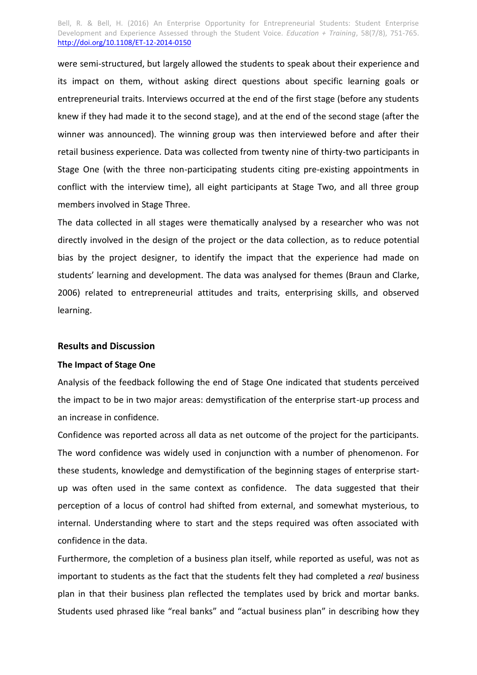were semi-structured, but largely allowed the students to speak about their experience and its impact on them, without asking direct questions about specific learning goals or entrepreneurial traits. Interviews occurred at the end of the first stage (before any students knew if they had made it to the second stage), and at the end of the second stage (after the winner was announced). The winning group was then interviewed before and after their retail business experience. Data was collected from twenty nine of thirty-two participants in Stage One (with the three non-participating students citing pre-existing appointments in conflict with the interview time), all eight participants at Stage Two, and all three group members involved in Stage Three.

The data collected in all stages were thematically analysed by a researcher who was not directly involved in the design of the project or the data collection, as to reduce potential bias by the project designer, to identify the impact that the experience had made on students' learning and development. The data was analysed for themes (Braun and Clarke, 2006) related to entrepreneurial attitudes and traits, enterprising skills, and observed learning.

## **Results and Discussion**

#### **The Impact of Stage One**

Analysis of the feedback following the end of Stage One indicated that students perceived the impact to be in two major areas: demystification of the enterprise start-up process and an increase in confidence.

Confidence was reported across all data as net outcome of the project for the participants. The word confidence was widely used in conjunction with a number of phenomenon. For these students, knowledge and demystification of the beginning stages of enterprise startup was often used in the same context as confidence. The data suggested that their perception of a locus of control had shifted from external, and somewhat mysterious, to internal. Understanding where to start and the steps required was often associated with confidence in the data.

Furthermore, the completion of a business plan itself, while reported as useful, was not as important to students as the fact that the students felt they had completed a *real* business plan in that their business plan reflected the templates used by brick and mortar banks. Students used phrased like "real banks" and "actual business plan" in describing how they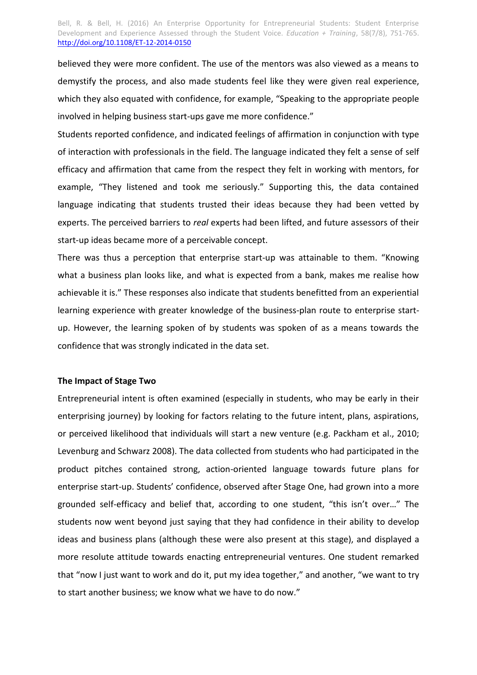believed they were more confident. The use of the mentors was also viewed as a means to demystify the process, and also made students feel like they were given real experience, which they also equated with confidence, for example, "Speaking to the appropriate people involved in helping business start-ups gave me more confidence."

Students reported confidence, and indicated feelings of affirmation in conjunction with type of interaction with professionals in the field. The language indicated they felt a sense of self efficacy and affirmation that came from the respect they felt in working with mentors, for example, "They listened and took me seriously." Supporting this, the data contained language indicating that students trusted their ideas because they had been vetted by experts. The perceived barriers to *real* experts had been lifted, and future assessors of their start-up ideas became more of a perceivable concept.

There was thus a perception that enterprise start-up was attainable to them. "Knowing what a business plan looks like, and what is expected from a bank, makes me realise how achievable it is." These responses also indicate that students benefitted from an experiential learning experience with greater knowledge of the business-plan route to enterprise startup. However, the learning spoken of by students was spoken of as a means towards the confidence that was strongly indicated in the data set.

# **The Impact of Stage Two**

Entrepreneurial intent is often examined (especially in students, who may be early in their enterprising journey) by looking for factors relating to the future intent, plans, aspirations, or perceived likelihood that individuals will start a new venture (e.g. Packham et al., 2010; Levenburg and Schwarz 2008). The data collected from students who had participated in the product pitches contained strong, action-oriented language towards future plans for enterprise start-up. Students' confidence, observed after Stage One, had grown into a more grounded self-efficacy and belief that, according to one student, "this isn't over…" The students now went beyond just saying that they had confidence in their ability to develop ideas and business plans (although these were also present at this stage), and displayed a more resolute attitude towards enacting entrepreneurial ventures. One student remarked that "now I just want to work and do it, put my idea together," and another, "we want to try to start another business; we know what we have to do now."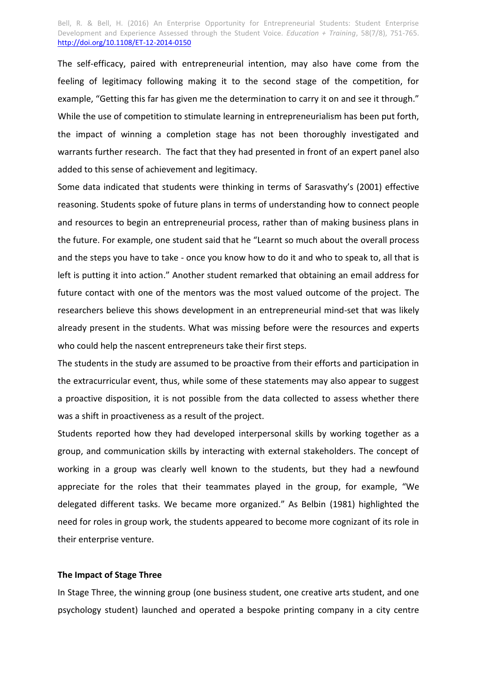The self-efficacy, paired with entrepreneurial intention, may also have come from the feeling of legitimacy following making it to the second stage of the competition, for example, "Getting this far has given me the determination to carry it on and see it through." While the use of competition to stimulate learning in entrepreneurialism has been put forth, the impact of winning a completion stage has not been thoroughly investigated and warrants further research. The fact that they had presented in front of an expert panel also added to this sense of achievement and legitimacy.

Some data indicated that students were thinking in terms of Sarasvathy's (2001) effective reasoning. Students spoke of future plans in terms of understanding how to connect people and resources to begin an entrepreneurial process, rather than of making business plans in the future. For example, one student said that he "Learnt so much about the overall process and the steps you have to take - once you know how to do it and who to speak to, all that is left is putting it into action." Another student remarked that obtaining an email address for future contact with one of the mentors was the most valued outcome of the project. The researchers believe this shows development in an entrepreneurial mind-set that was likely already present in the students. What was missing before were the resources and experts who could help the nascent entrepreneurs take their first steps.

The students in the study are assumed to be proactive from their efforts and participation in the extracurricular event, thus, while some of these statements may also appear to suggest a proactive disposition, it is not possible from the data collected to assess whether there was a shift in proactiveness as a result of the project.

Students reported how they had developed interpersonal skills by working together as a group, and communication skills by interacting with external stakeholders. The concept of working in a group was clearly well known to the students, but they had a newfound appreciate for the roles that their teammates played in the group, for example, "We delegated different tasks. We became more organized." As Belbin (1981) highlighted the need for roles in group work, the students appeared to become more cognizant of its role in their enterprise venture.

#### **The Impact of Stage Three**

In Stage Three, the winning group (one business student, one creative arts student, and one psychology student) launched and operated a bespoke printing company in a city centre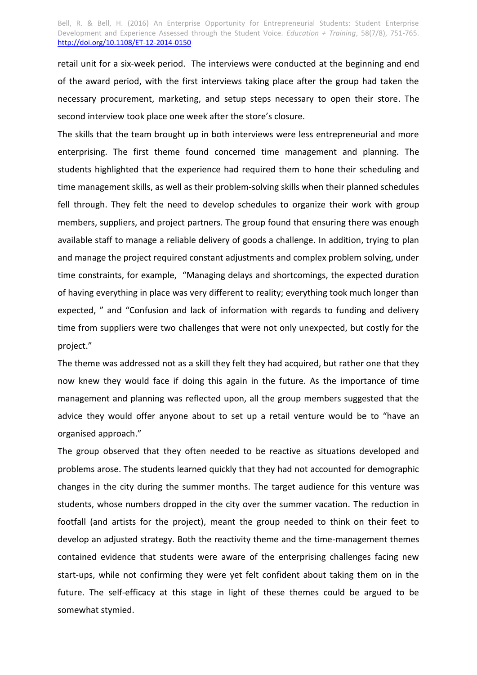retail unit for a six-week period. The interviews were conducted at the beginning and end of the award period, with the first interviews taking place after the group had taken the necessary procurement, marketing, and setup steps necessary to open their store. The second interview took place one week after the store's closure.

The skills that the team brought up in both interviews were less entrepreneurial and more enterprising. The first theme found concerned time management and planning. The students highlighted that the experience had required them to hone their scheduling and time management skills, as well as their problem-solving skills when their planned schedules fell through. They felt the need to develop schedules to organize their work with group members, suppliers, and project partners. The group found that ensuring there was enough available staff to manage a reliable delivery of goods a challenge. In addition, trying to plan and manage the project required constant adjustments and complex problem solving, under time constraints, for example, "Managing delays and shortcomings, the expected duration of having everything in place was very different to reality; everything took much longer than expected, " and "Confusion and lack of information with regards to funding and delivery time from suppliers were two challenges that were not only unexpected, but costly for the project."

The theme was addressed not as a skill they felt they had acquired, but rather one that they now knew they would face if doing this again in the future. As the importance of time management and planning was reflected upon, all the group members suggested that the advice they would offer anyone about to set up a retail venture would be to "have an organised approach."

The group observed that they often needed to be reactive as situations developed and problems arose. The students learned quickly that they had not accounted for demographic changes in the city during the summer months. The target audience for this venture was students, whose numbers dropped in the city over the summer vacation. The reduction in footfall (and artists for the project), meant the group needed to think on their feet to develop an adjusted strategy. Both the reactivity theme and the time-management themes contained evidence that students were aware of the enterprising challenges facing new start-ups, while not confirming they were yet felt confident about taking them on in the future. The self-efficacy at this stage in light of these themes could be argued to be somewhat stymied.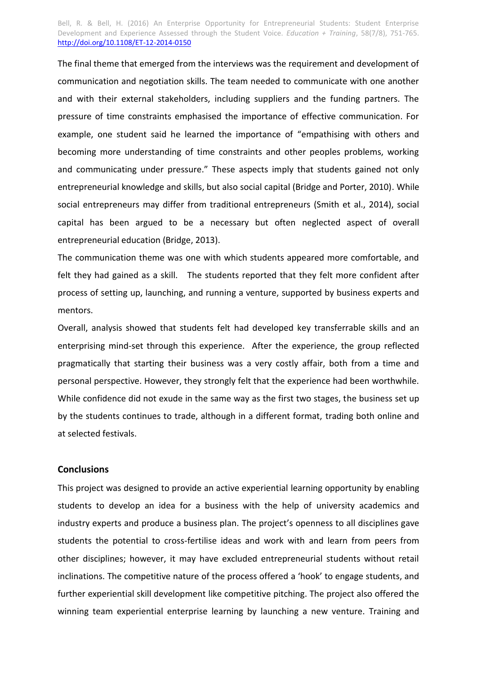The final theme that emerged from the interviews was the requirement and development of communication and negotiation skills. The team needed to communicate with one another and with their external stakeholders, including suppliers and the funding partners. The pressure of time constraints emphasised the importance of effective communication. For example, one student said he learned the importance of "empathising with others and becoming more understanding of time constraints and other peoples problems, working and communicating under pressure." These aspects imply that students gained not only entrepreneurial knowledge and skills, but also social capital (Bridge and Porter, 2010). While social entrepreneurs may differ from traditional entrepreneurs (Smith et al., 2014), social capital has been argued to be a necessary but often neglected aspect of overall entrepreneurial education (Bridge, 2013).

The communication theme was one with which students appeared more comfortable, and felt they had gained as a skill. The students reported that they felt more confident after process of setting up, launching, and running a venture, supported by business experts and mentors.

Overall, analysis showed that students felt had developed key transferrable skills and an enterprising mind-set through this experience. After the experience, the group reflected pragmatically that starting their business was a very costly affair, both from a time and personal perspective. However, they strongly felt that the experience had been worthwhile. While confidence did not exude in the same way as the first two stages, the business set up by the students continues to trade, although in a different format, trading both online and at selected festivals.

# **Conclusions**

This project was designed to provide an active experiential learning opportunity by enabling students to develop an idea for a business with the help of university academics and industry experts and produce a business plan. The project's openness to all disciplines gave students the potential to cross-fertilise ideas and work with and learn from peers from other disciplines; however, it may have excluded entrepreneurial students without retail inclinations. The competitive nature of the process offered a 'hook' to engage students, and further experiential skill development like competitive pitching. The project also offered the winning team experiential enterprise learning by launching a new venture. Training and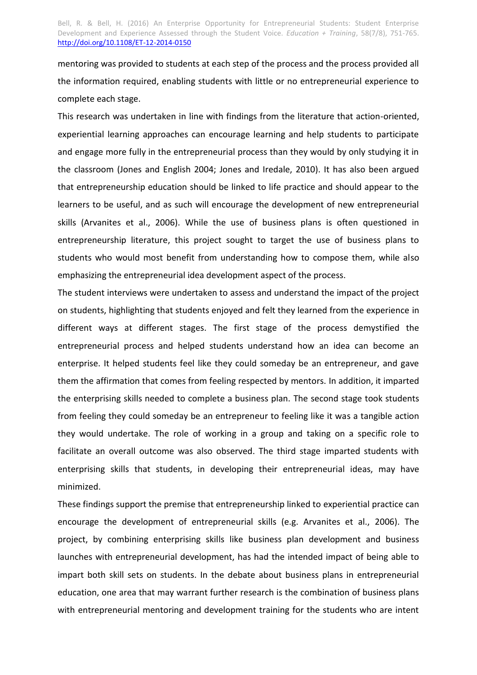mentoring was provided to students at each step of the process and the process provided all the information required, enabling students with little or no entrepreneurial experience to complete each stage.

This research was undertaken in line with findings from the literature that action-oriented, experiential learning approaches can encourage learning and help students to participate and engage more fully in the entrepreneurial process than they would by only studying it in the classroom (Jones and English 2004; Jones and Iredale, 2010). It has also been argued that entrepreneurship education should be linked to life practice and should appear to the learners to be useful, and as such will encourage the development of new entrepreneurial skills (Arvanites et al., 2006). While the use of business plans is often questioned in entrepreneurship literature, this project sought to target the use of business plans to students who would most benefit from understanding how to compose them, while also emphasizing the entrepreneurial idea development aspect of the process.

The student interviews were undertaken to assess and understand the impact of the project on students, highlighting that students enjoyed and felt they learned from the experience in different ways at different stages. The first stage of the process demystified the entrepreneurial process and helped students understand how an idea can become an enterprise. It helped students feel like they could someday be an entrepreneur, and gave them the affirmation that comes from feeling respected by mentors. In addition, it imparted the enterprising skills needed to complete a business plan. The second stage took students from feeling they could someday be an entrepreneur to feeling like it was a tangible action they would undertake. The role of working in a group and taking on a specific role to facilitate an overall outcome was also observed. The third stage imparted students with enterprising skills that students, in developing their entrepreneurial ideas, may have minimized.

These findings support the premise that entrepreneurship linked to experiential practice can encourage the development of entrepreneurial skills (e.g. Arvanites et al., 2006). The project, by combining enterprising skills like business plan development and business launches with entrepreneurial development, has had the intended impact of being able to impart both skill sets on students. In the debate about business plans in entrepreneurial education, one area that may warrant further research is the combination of business plans with entrepreneurial mentoring and development training for the students who are intent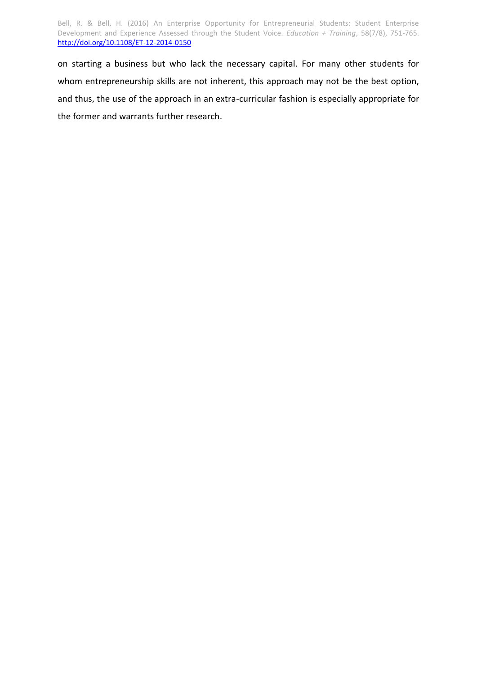on starting a business but who lack the necessary capital. For many other students for whom entrepreneurship skills are not inherent, this approach may not be the best option, and thus, the use of the approach in an extra-curricular fashion is especially appropriate for the former and warrants further research.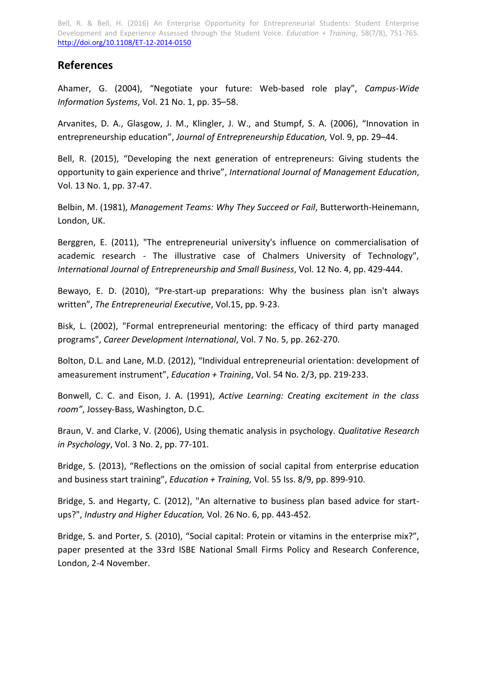# **References**

Ahamer, G. (2004), "Negotiate your future: Web-based role play", *Campus-Wide Information Systems*, Vol. 21 No. 1, pp. 35–58.

Arvanites, D. A., Glasgow, J. M., Klingler, J. W., and Stumpf, S. A. (2006), "Innovation in entrepreneurship education", *Journal of Entrepreneurship Education,* Vol. 9, pp. 29–44.

Bell, R. (2015), "Developing the next generation of entrepreneurs: Giving students the opportunity to gain experience and thrive", *International Journal of Management Education*, Vol. 13 No. 1, pp. 37-47.

Belbin, M. (1981), *Management Teams: Why They Succeed or Fail*, Butterworth-Heinemann, London, UK.

Berggren, E. (2011), "The entrepreneurial university's influence on commercialisation of academic research - The illustrative case of Chalmers University of Technology", *International Journal of Entrepreneurship and Small Business*, Vol. 12 No. 4, pp. 429-444.

Bewayo, E. D. (2010), "Pre-start-up preparations: Why the business plan isn't always written", *The Entrepreneurial Executive*, Vol.15, pp. 9-23.

Bisk, L. (2002), "Formal entrepreneurial mentoring: the efficacy of third party managed programs", *Career Development International*, Vol. 7 No. 5, pp. 262-270.

Bolton, D.L. and Lane, M.D. (2012), "Individual entrepreneurial orientation: development of ameasurement instrument", *Education + Training*, Vol. 54 No. 2/3, pp. 219-233.

Bonwell, C. C. and Eison, J. A. (1991), *Active Learning: Creating excitement in the class room"*, Jossey-Bass, Washington, D.C.

Braun, V. and Clarke, V. (2006), Using thematic analysis in psychology. *Qualitative Research in Psychology*, Vol. 3 No. 2, pp. 77-101.

Bridge, S. (2013), "Reflections on the omission of social capital from enterprise education and business start training", *Education + Training,* Vol. 55 Iss. 8/9, pp. 899-910.

Bridge, S. and Hegarty, C. (2012), "An alternative to business plan based advice for startups?", *Industry and Higher Education,* Vol. 26 No. 6, pp. 443-452.

Bridge, S. and Porter, S. (2010), "Social capital: Protein or vitamins in the enterprise mix?", paper presented at the 33rd ISBE National Small Firms Policy and Research Conference, London, 2-4 November.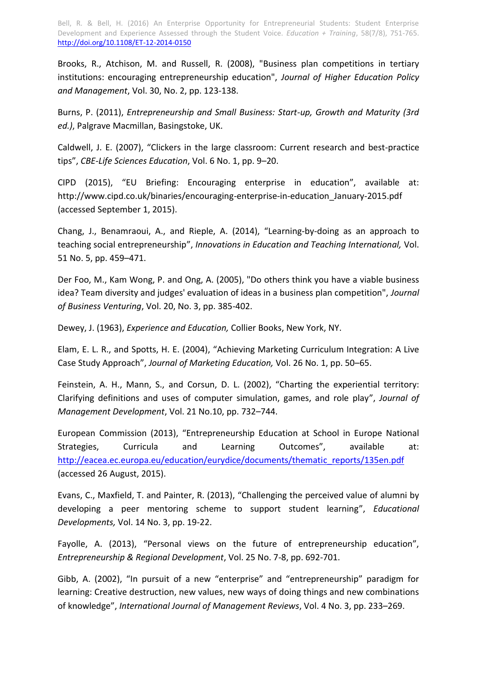Brooks, R., Atchison, M. and Russell, R. (2008), "Business plan competitions in tertiary institutions: encouraging entrepreneurship education", *Journal of Higher Education Policy and Management*, Vol. 30, No. 2, pp. 123-138.

Burns, P. (2011), *Entrepreneurship and Small Business: Start-up, Growth and Maturity (3rd ed.)*, Palgrave Macmillan, Basingstoke, UK.

Caldwell, J. E. (2007), "Clickers in the large classroom: Current research and best-practice tips", *CBE-Life Sciences Education*, Vol. 6 No. 1, pp. 9–20.

CIPD (2015), "EU Briefing: Encouraging enterprise in education", available at: http://www.cipd.co.uk/binaries/encouraging-enterprise-in-education\_January-2015.pdf (accessed September 1, 2015).

Chang, J., Benamraoui, A., and Rieple, A. (2014), "Learning-by-doing as an approach to teaching social entrepreneurship", *Innovations in Education and Teaching International,* Vol. 51 No. 5, pp. 459–471.

Der Foo, M., Kam Wong, P. and Ong, A. (2005), "Do others think you have a viable business idea? Team diversity and judges' evaluation of ideas in a business plan competition", *Journal of Business Venturing*, Vol. 20, No. 3, pp. 385-402.

Dewey, J. (1963), *Experience and Education,* Collier Books, New York, NY.

Elam, E. L. R., and Spotts, H. E. (2004), "Achieving Marketing Curriculum Integration: A Live Case Study Approach", *Journal of Marketing Education,* Vol. 26 No. 1, pp. 50–65.

Feinstein, A. H., Mann, S., and Corsun, D. L. (2002), "Charting the experiential territory: Clarifying definitions and uses of computer simulation, games, and role play", *Journal of Management Development*, Vol. 21 No.10, pp. 732–744.

European Commission (2013), "Entrepreneurship Education at School in Europe National Strategies, Curricula and Learning Outcomes", available at: [http://eacea.ec.europa.eu/education/eurydice/documents/thematic\\_reports/135en.pdf](http://eacea.ec.europa.eu/education/eurydice/documents/thematic_reports/135en.pdf) (accessed 26 August, 2015).

Evans, C., Maxfield, T. and Painter, R. (2013), "Challenging the perceived value of alumni by developing a peer mentoring scheme to support student learning", *Educational Developments,* Vol. 14 No. 3, pp. 19-22.

Fayolle, A. (2013), "Personal views on the future of entrepreneurship education", *Entrepreneurship & Regional Development*, Vol. 25 No. 7-8, pp. 692-701.

Gibb, A. (2002), "In pursuit of a new "enterprise" and "entrepreneurship" paradigm for learning: Creative destruction, new values, new ways of doing things and new combinations of knowledge", *International Journal of Management Reviews*, Vol. 4 No. 3, pp. 233–269.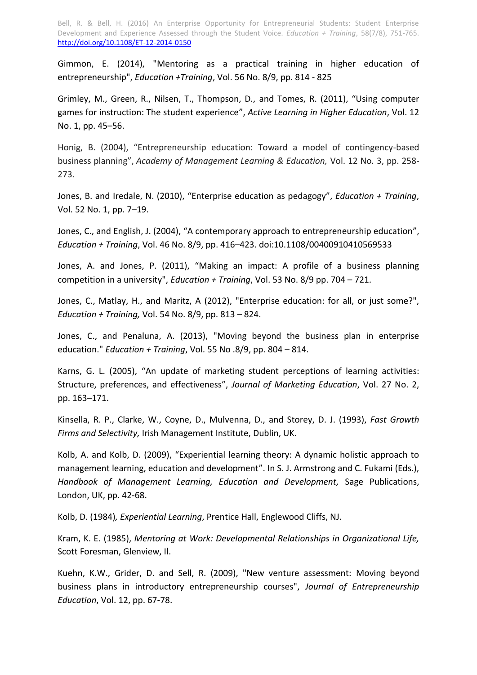Gimmon, E. (2014), "Mentoring as a practical training in higher education of entrepreneurship", *Education +Training*, Vol. 56 No. 8/9, pp. 814 - 825

Grimley, M., Green, R., Nilsen, T., Thompson, D., and Tomes, R. (2011), "Using computer games for instruction: The student experience", *Active Learning in Higher Education*, Vol. 12 No. 1, pp. 45–56.

Honig, B. (2004), "Entrepreneurship education: Toward a model of contingency-based business planning", *Academy of Management Learning & Education,* Vol. 12 No*.* 3, pp. 258- 273.

Jones, B. and Iredale, N. (2010), "Enterprise education as pedagogy", *Education + Training*, Vol. 52 No. 1, pp. 7–19.

Jones, C., and English, J. (2004), "A contemporary approach to entrepreneurship education", *Education + Training*, Vol. 46 No. 8/9, pp. 416–423. doi:10.1108/00400910410569533

Jones, A. and Jones, P. (2011), "Making an impact: A profile of a business planning competition in a university", *Education + Training*, Vol. 53 No. 8/9 pp. 704 – 721.

Jones, C., Matlay, H., and Maritz, A (2012), "Enterprise education: for all, or just some?", *Education + Training,* Vol. 54 No. 8/9, pp. 813 – 824.

Jones, C., and Penaluna, A. (2013), "Moving beyond the business plan in enterprise education." *Education + Training*, Vol. 55 No .8/9, pp. 804 – 814.

Karns, G. L. (2005), "An update of marketing student perceptions of learning activities: Structure, preferences, and effectiveness", *Journal of Marketing Education*, Vol. 27 No. 2, pp. 163–171.

Kinsella, R. P., Clarke, W., Coyne, D., Mulvenna, D., and Storey, D. J. (1993), *Fast Growth Firms and Selectivity,* Irish Management Institute, Dublin, UK.

Kolb, A. and Kolb, D. (2009), "Experiential learning theory: A dynamic holistic approach to management learning, education and development". In S. J. Armstrong and C. Fukami (Eds.), *Handbook of Management Learning, Education and Development,* Sage Publications, London, UK, pp. 42-68.

Kolb, D. (1984)*, Experiential Learning*, Prentice Hall, Englewood Cliffs, NJ.

Kram, K. E. (1985), *Mentoring at Work: Developmental Relationships in Organizational Life,* Scott Foresman, Glenview, Il.

Kuehn, K.W., Grider, D. and Sell, R. (2009), "New venture assessment: Moving beyond business plans in introductory entrepreneurship courses", *Journal of Entrepreneurship Education*, Vol. 12, pp. 67-78.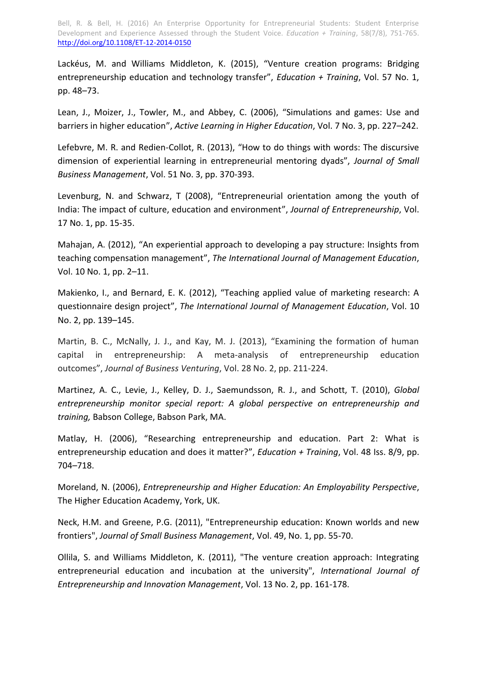Lackéus, M. and Williams Middleton, K. (2015), "Venture creation programs: Bridging entrepreneurship education and technology transfer", *Education + Training*, Vol. 57 No. 1, pp. 48–73.

Lean, J., Moizer, J., Towler, M., and Abbey, C. (2006), "Simulations and games: Use and barriers in higher education", *Active Learning in Higher Education*, Vol. 7 No. 3, pp. 227–242.

Lefebvre, M. R. and Redien-Collot, R. (2013), "How to do things with words: The discursive dimension of experiential learning in entrepreneurial mentoring dyads", *Journal of Small Business Management*, Vol. 51 No. 3, pp. 370-393.

Levenburg, N. and Schwarz, T (2008), "Entrepreneurial orientation among the youth of India: The impact of culture, education and environment", *Journal of Entrepreneurship*, Vol. 17 No. 1, pp. 15-35.

Mahajan, A. (2012), "An experiential approach to developing a pay structure: Insights from teaching compensation management", *The International Journal of Management Education*, Vol. 10 No. 1, pp. 2–11.

Makienko, I., and Bernard, E. K. (2012), "Teaching applied value of marketing research: A questionnaire design project", *The International Journal of Management Education*, Vol. 10 No. 2, pp. 139–145.

Martin, B. C., McNally, J. J., and Kay, M. J. (2013), "Examining the formation of human capital in entrepreneurship: A meta-analysis of entrepreneurship education outcomes", *Journal of Business Venturing*, Vol. 28 No. 2, pp. 211-224.

Martinez, A. C., Levie, J., Kelley, D. J., Saemundsson, R. J., and Schott, T. (2010), *Global entrepreneurship monitor special report: A global perspective on entrepreneurship and training,* Babson College, Babson Park, MA.

Matlay, H. (2006), "Researching entrepreneurship and education. Part 2: What is entrepreneurship education and does it matter?", *Education + Training*, Vol. 48 Iss. 8/9, pp. 704–718.

Moreland, N. (2006), *Entrepreneurship and Higher Education: An Employability Perspective*, The Higher Education Academy, York, UK.

Neck, H.M. and Greene, P.G. (2011), "Entrepreneurship education: Known worlds and new frontiers", *Journal of Small Business Management*, Vol. 49, No. 1, pp. 55-70.

Ollila, S. and Williams Middleton, K. (2011), "The venture creation approach: Integrating entrepreneurial education and incubation at the university", *International Journal of Entrepreneurship and Innovation Management*, Vol. 13 No. 2, pp. 161-178.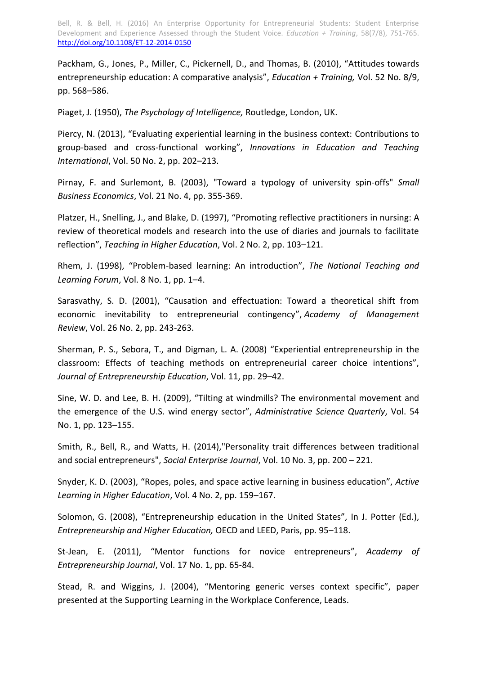Packham, G., Jones, P., Miller, C., Pickernell, D., and Thomas, B. (2010), "Attitudes towards entrepreneurship education: A comparative analysis", *Education + Training,* Vol. 52 No. 8/9, pp. 568–586.

Piaget, J. (1950), *The Psychology of Intelligence,* Routledge, London, UK.

Piercy, N. (2013), "Evaluating experiential learning in the business context: Contributions to group-based and cross-functional working", *Innovations in Education and Teaching International*, Vol. 50 No. 2, pp. 202–213.

Pirnay, F. and Surlemont, B. (2003), "Toward a typology of university spin-offs" *Small Business Economics*, Vol. 21 No. 4, pp. 355-369.

Platzer, H., Snelling, J., and Blake, D. (1997), "Promoting reflective practitioners in nursing: A review of theoretical models and research into the use of diaries and journals to facilitate reflection", *Teaching in Higher Education*, Vol. 2 No. 2, pp. 103–121.

Rhem, J. (1998), "Problem-based learning: An introduction", *The National Teaching and Learning Forum*, Vol. 8 No. 1, pp. 1–4.

Sarasvathy, S. D. (2001), "Causation and effectuation: Toward a theoretical shift from economic inevitability to entrepreneurial contingency", *Academy of Management Review*, Vol. 26 No. 2, pp. 243-263.

Sherman, P. S., Sebora, T., and Digman, L. A. (2008) "Experiential entrepreneurship in the classroom: Effects of teaching methods on entrepreneurial career choice intentions", *Journal of Entrepreneurship Education*, Vol. 11, pp. 29–42.

Sine, W. D. and Lee, B. H. (2009), "Tilting at windmills? The environmental movement and the emergence of the U.S. wind energy sector", *Administrative Science Quarterly*, Vol. 54 No. 1, pp. 123–155.

Smith, R., Bell, R., and Watts, H. (2014),"Personality trait differences between traditional and social entrepreneurs", *Social Enterprise Journal*, Vol. 10 No. 3, pp. 200 – 221.

Snyder, K. D. (2003), "Ropes, poles, and space active learning in business education", *Active Learning in Higher Education*, Vol. 4 No. 2, pp. 159–167.

Solomon, G. (2008), "Entrepreneurship education in the United States", In J. Potter (Ed.), *Entrepreneurship and Higher Education,* OECD and LEED, Paris, pp. 95–118.

St-Jean, E. (2011), "Mentor functions for novice entrepreneurs", *Academy of Entrepreneurship Journal*, Vol. 17 No. 1, pp. 65-84.

Stead, R. and Wiggins, J. (2004), "Mentoring generic verses context specific", paper presented at the Supporting Learning in the Workplace Conference, Leads.